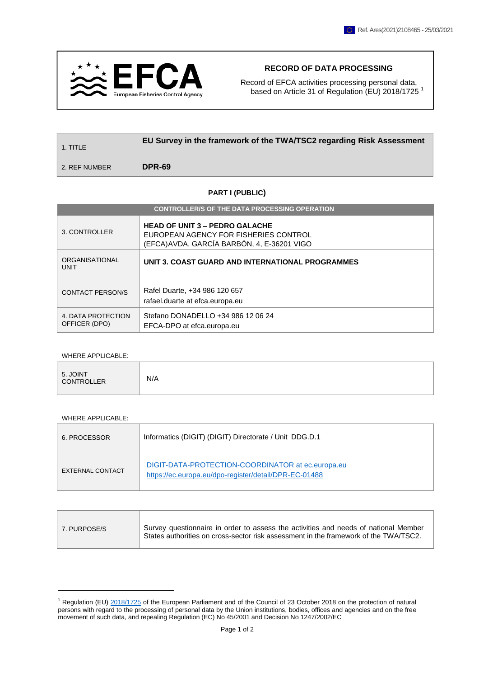

# **RECORD OF DATA PROCESSING**

Record of EFCA activities processing personal data, based on Article 31 of Regulation (EU) 2018/1725<sup>1</sup>

| 1. TITLE | EU Survey in the framework of the TWA/TSC2 regarding Risk Assessment |
|----------|----------------------------------------------------------------------|
|          |                                                                      |

### 2. REF NUMBER **DPR-69**

## **PART I (PUBLIC)**

| <b>CONTROLLER/S OF THE DATA PROCESSING OPERATION</b> |                                                                                                                              |  |  |  |  |
|------------------------------------------------------|------------------------------------------------------------------------------------------------------------------------------|--|--|--|--|
| 3. CONTROLLER                                        | <b>HEAD OF UNIT 3 - PEDRO GALACHE</b><br>EUROPEAN AGENCY FOR FISHERIES CONTROL<br>(EFCA)AVDA. GARCÍA BARBÓN, 4, E-36201 VIGO |  |  |  |  |
| ORGANISATIONAL<br><b>UNIT</b>                        | UNIT 3. COAST GUARD AND INTERNATIONAL PROGRAMMES                                                                             |  |  |  |  |
| <b>CONTACT PERSON/S</b>                              | Rafel Duarte, +34 986 120 657<br>rafael.duarte at efca.europa.eu                                                             |  |  |  |  |
| 4. DATA PROTECTION<br>OFFICER (DPO)                  | Stefano DONADELLO +34 986 12 06 24<br>EFCA-DPO at efca.europa.eu                                                             |  |  |  |  |

### WHERE APPLICABLE:

| 5. JOINT<br><b>CONTROLLER</b> | N/A |
|-------------------------------|-----|
|-------------------------------|-----|

### WHERE APPLICABLE:

| 6. PROCESSOR     | Informatics (DIGIT) (DIGIT) Directorate / Unit DDG.D.1                                                     |
|------------------|------------------------------------------------------------------------------------------------------------|
| EXTERNAL CONTACT | DIGIT-DATA-PROTECTION-COORDINATOR at ec.europa.eu<br>https://ec.europa.eu/dpo-register/detail/DPR-EC-01488 |

| 7. PURPOSE/S |                                                                                                                                                                             |
|--------------|-----------------------------------------------------------------------------------------------------------------------------------------------------------------------------|
|              | Survey questionnaire in order to assess the activities and needs of national Member<br>States authorities on cross-sector risk assessment in the framework of the TWA/TSC2. |
|              |                                                                                                                                                                             |

 $1$  Regulation (EU)  $2018/1725$  of the European Parliament and of the Council of 23 October 2018 on the protection of natural persons with regard to the processing of personal data by the Union institutions, bodies, offices and agencies and on the free movement of such data, and repealing Regulation (EC) No 45/2001 and Decision No 1247/2002/EC